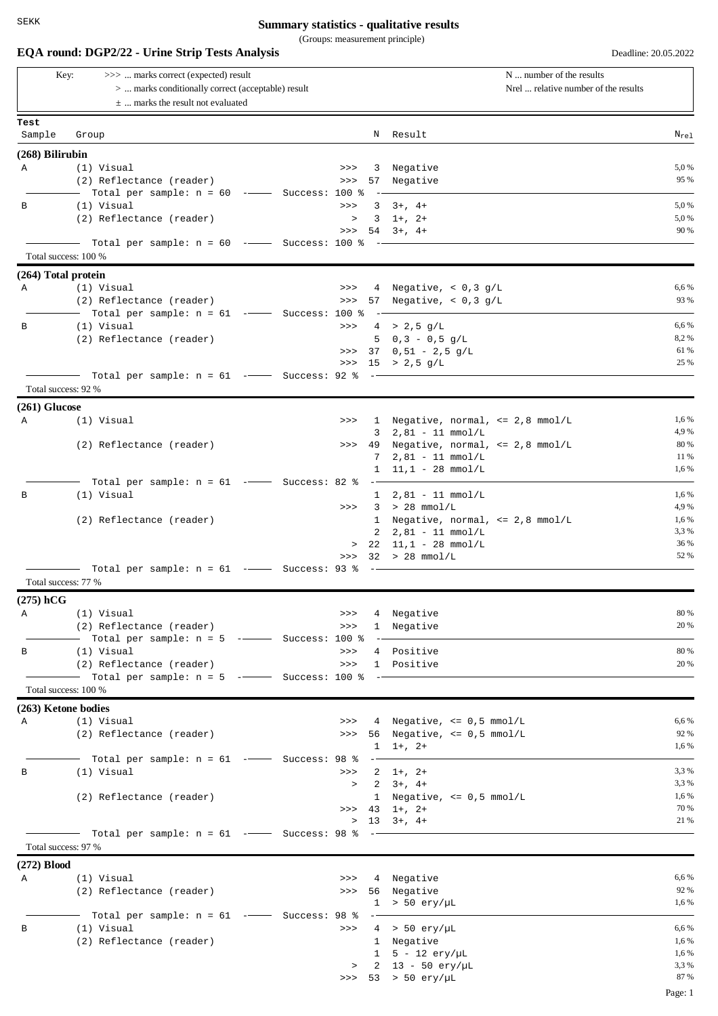## **Summary statistics - qualitative results**

(Groups: measurement principle)

| >>>  marks correct (expected) result<br>Key:                                               |                                                                             |  |        |     | N  number of the results                                                |                  |  |
|--------------------------------------------------------------------------------------------|-----------------------------------------------------------------------------|--|--------|-----|-------------------------------------------------------------------------|------------------|--|
| >  marks conditionally correct (acceptable) result<br>$\pm$ marks the result not evaluated |                                                                             |  |        |     | Nrel  relative number of the results                                    |                  |  |
|                                                                                            |                                                                             |  |        |     |                                                                         |                  |  |
|                                                                                            |                                                                             |  |        |     |                                                                         |                  |  |
| Test<br>Sample                                                                             |                                                                             |  |        |     | N Result                                                                | $N_{\text{rel}}$ |  |
|                                                                                            | Group                                                                       |  |        |     |                                                                         |                  |  |
| $(268)$ Bilirubin                                                                          |                                                                             |  |        |     |                                                                         |                  |  |
| Α                                                                                          | (1) Visual                                                                  |  | >>     |     | 3 Negative                                                              | 5,0%<br>95 %     |  |
|                                                                                            | (2) Reflectance (reader)<br>- Total per sample: n = 60 ----- Success: 100 % |  | >>     |     | 57 Negative                                                             |                  |  |
| В                                                                                          | (1) Visual                                                                  |  | >>     |     | $3 + 4 +$                                                               | 5,0 %            |  |
|                                                                                            | (2) Reflectance (reader)                                                    |  | $\geq$ |     | $3 \t1+$ , $2+$                                                         | 5,0%             |  |
|                                                                                            |                                                                             |  | >>     |     | $54$ $3+$ , $4+$                                                        | 90 %             |  |
|                                                                                            | Total per sample: $n = 60$ -- Success: 100 %                                |  |        |     |                                                                         |                  |  |
|                                                                                            | Total success: 100 %                                                        |  |        |     |                                                                         |                  |  |
| (264) Total protein                                                                        |                                                                             |  |        |     |                                                                         |                  |  |
| Α                                                                                          | (1) Visual<br>(2) Reflectance (reader)                                      |  | >>     |     | 4 Negative, $< 0, 3 g/L$<br>57 Negative, $< 0.3$ g/L                    | 6,6 %<br>93 %    |  |
|                                                                                            | —  Total per sample: n = 61  -——  Success: 100 %                            |  | >>     |     |                                                                         |                  |  |
| В                                                                                          | (1) Visual                                                                  |  | $>>>$  |     | $4 > 2,5$ g/L                                                           | 6,6 %            |  |
|                                                                                            | (2) Reflectance (reader)                                                    |  |        |     | 5 $0,3 - 0,5 g/L$                                                       | 8,2%             |  |
|                                                                                            |                                                                             |  |        |     | >>> 37 $0,51 - 2,5 q/L$                                                 | 61 %             |  |
|                                                                                            |                                                                             |  |        |     | >>> $15$ > $2,5$ g/L                                                    | 25 %             |  |
|                                                                                            | Total per sample: $n = 61$ -- Success: 92 % --<br>Total success: 92 %       |  |        |     |                                                                         |                  |  |
|                                                                                            |                                                                             |  |        |     |                                                                         |                  |  |
| $(261)$ Glucose<br>Α                                                                       | (1) Visual                                                                  |  | >>     |     | 1 Negative, normal, <= 2,8 mmol/L                                       | 1,6 %            |  |
|                                                                                            |                                                                             |  |        |     | $3$ $2,81 - 11$ mmol/L                                                  | 4,9%             |  |
|                                                                                            | (2) Reflectance (reader)                                                    |  | >>     |     | 49 Negative, normal, <= 2,8 mmol/L                                      | 80 %             |  |
|                                                                                            |                                                                             |  |        | 7   | $2,81 - 11$ mmol/L                                                      | 11 %             |  |
|                                                                                            |                                                                             |  |        |     | $1 \quad 11,1 - 28 \quad \text{mmol/L}$                                 | 1,6 %            |  |
|                                                                                            | Total per sample: $n = 61$ -- Success: 82 %                                 |  |        |     |                                                                         |                  |  |
| В                                                                                          | (1) Visual                                                                  |  | >>     |     | $1 \quad 2,81 - 11 \quad \text{mmol/L}$<br>$3 > 28$ mmol/L              | 1,6 %<br>4,9%    |  |
|                                                                                            | (2) Reflectance (reader)                                                    |  |        |     | 1 Negative, normal, <= 2,8 mmol/L                                       | 1,6 %            |  |
|                                                                                            |                                                                             |  |        |     | $2$ $2,81 - 11$ mmol/L                                                  | 3,3 %            |  |
|                                                                                            |                                                                             |  |        |     | $> 22 \quad 11,1 - 28 \quad \text{mmol/L}$                              | 36 %             |  |
|                                                                                            |                                                                             |  | >>     |     | $32 > 28$ mmol/L                                                        | 52 %             |  |
|                                                                                            | Total per sample: $n = 61$ -- Success: 93 %<br>Total success: 77 %          |  |        |     |                                                                         |                  |  |
|                                                                                            |                                                                             |  |        |     |                                                                         |                  |  |
| $(275)$ hCG<br>A                                                                           | (1) Visual                                                                  |  | >>     |     | 4 Negative                                                              | 80 %             |  |
|                                                                                            | (2) Reflectance (reader)                                                    |  | >>     |     | 1 Negative                                                              | 20 %             |  |
|                                                                                            | $\hbox{---}$ Total per sample: n = 5 - $\hbox{---}$ Success: 100 %          |  |        | $-$ |                                                                         |                  |  |
| B                                                                                          | (1) Visual                                                                  |  | >>     |     | 4 Positive                                                              | 80 %             |  |
|                                                                                            | (2) Reflectance (reader)                                                    |  | >>     |     | 1 Positive                                                              | 20 %             |  |
|                                                                                            |                                                                             |  |        |     |                                                                         |                  |  |
|                                                                                            | Total success: 100 %                                                        |  |        |     |                                                                         |                  |  |
|                                                                                            | (263) Ketone bodies                                                         |  |        |     |                                                                         | 6,6 %            |  |
| Α                                                                                          | (1) Visual<br>(2) Reflectance (reader)                                      |  |        |     | >>> $4$ Negative, <= $0,5$ mmol/L<br>>>> 56 Negative, $\leq 0.5$ mmol/L | 92 %             |  |
|                                                                                            |                                                                             |  |        |     | $1 \t1+$ , $2+$                                                         | 1,6 %            |  |
|                                                                                            |                                                                             |  |        |     |                                                                         |                  |  |
| В                                                                                          | (1) Visual                                                                  |  |        |     | $>>$ 2 1+, 2+                                                           | 3,3 %            |  |
|                                                                                            |                                                                             |  |        |     | $> 2 \t3+$ , 4+                                                         | 3,3 %            |  |
|                                                                                            | (2) Reflectance (reader)                                                    |  |        |     | 1 Negative, $\leq 0.5$ mmol/L<br>$>>$ 43 1+, 2+                         | 1,6 %<br>70 %    |  |
|                                                                                            |                                                                             |  |        |     | $> 13 \t3+1 \t4+$                                                       | 21 %             |  |
|                                                                                            |                                                                             |  |        |     |                                                                         |                  |  |
|                                                                                            | Total success: 97 %                                                         |  |        |     |                                                                         |                  |  |
| $(272)$ Blood                                                                              |                                                                             |  |        |     |                                                                         |                  |  |
| $\mathbf{A}$                                                                               | (1) Visual                                                                  |  |        |     | >>> 4 Negative                                                          | 6,6 %            |  |
|                                                                                            | (2) Reflectance (reader)                                                    |  |        |     | >>> 56 Negative                                                         | 92 %             |  |
|                                                                                            |                                                                             |  |        |     | $1 > 50$ ery/µL                                                         | 1,6 %            |  |
| в                                                                                          | (1) Visual                                                                  |  |        |     | >>> $4 > 50 \text{ erg/}\mu\text{L}$                                    | 6,6 %            |  |
|                                                                                            | (2) Reflectance (reader)                                                    |  |        |     | 1 Negative                                                              | 1,6 %            |  |
|                                                                                            |                                                                             |  |        |     | $1 \quad 5 - 12 \text{ erg/}\mu\text{L}$                                | 1,6 %            |  |
|                                                                                            |                                                                             |  |        |     | > $2 \t13 - 50 \t{e} \r{r} / \mu L$                                     | 3,3 %            |  |
|                                                                                            |                                                                             |  |        |     | >>> 53 > 50 $\text{ery} / \mu\text{L}$                                  | 87 %             |  |
|                                                                                            |                                                                             |  |        |     |                                                                         | Page: 1          |  |